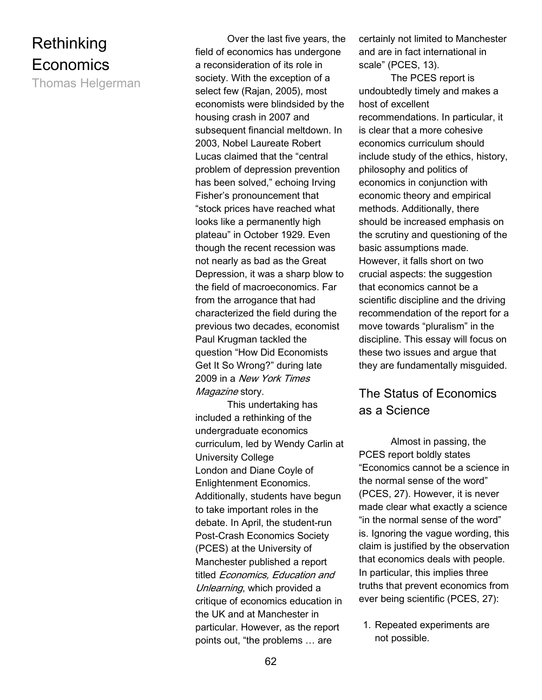# **Rethinking** Economics

Thomas Helgerman

 Over the last five years, the field of economics has undergone a reconsideration of its role in society. With the exception of a select few (Rajan, 2005), most economists were blindsided by the housing crash in 2007 and subsequent financial meltdown. In 2003, Nobel Laureate Robert Lucas claimed that the "central problem of depression prevention has been solved," echoing Irving Fisher's pronouncement that "stock prices have reached what looks like a permanently high plateau" in October 1929. Even though the recent recession was not nearly as bad as the Great Depression, it was a sharp blow to the field of macroeconomics. Far from the arrogance that had characterized the field during the previous two decades, economist Paul Krugman tackled the question "How Did Economists Get It So Wrong?" during late 2009 in a New York Times Magazine story.

This undertaking has included a rethinking of the undergraduate economics curriculum, led by Wendy Carlin at University College London and Diane Coyle of Enlightenment Economics. Additionally, students have begun to take important roles in the debate. In April, the student-run Post-Crash Economics Society (PCES) at the University of Manchester published a report titled Economics, Education and Unlearning, which provided a critique of economics education in the UK and at Manchester in particular. However, as the report points out, "the problems … are

certainly not limited to Manchester and are in fact international in scale" (PCES, 13).

The PCES report is undoubtedly timely and makes a host of excellent recommendations. In particular, it is clear that a more cohesive economics curriculum should include study of the ethics, history, philosophy and politics of economics in conjunction with economic theory and empirical methods. Additionally, there should be increased emphasis on the scrutiny and questioning of the basic assumptions made. However, it falls short on two crucial aspects: the suggestion that economics cannot be a scientific discipline and the driving recommendation of the report for a move towards "pluralism" in the discipline. This essay will focus on these two issues and argue that they are fundamentally misguided.

# The Status of Economics as a Science

 Almost in passing, the PCES report boldly states "Economics cannot be a science in the normal sense of the word" (PCES, 27). However, it is never made clear what exactly a science "in the normal sense of the word" is. Ignoring the vague wording, this claim is justified by the observation that economics deals with people. In particular, this implies three truths that prevent economics from ever being scientific (PCES, 27):

1. Repeated experiments are not possible.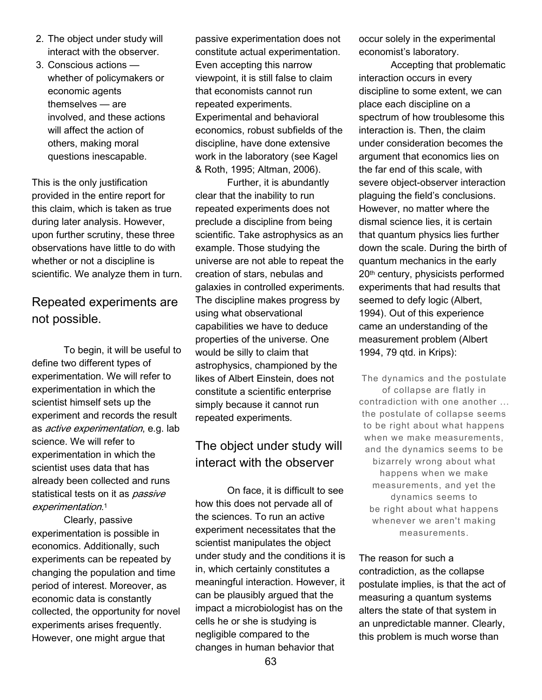- 2. The object under study will interact with the observer.
- 3. Conscious actions whether of policymakers or economic agents themselves — are involved, and these actions will affect the action of others, making moral questions inescapable.

This is the only justification provided in the entire report for this claim, which is taken as true during later analysis. However, upon further scrutiny, these three observations have little to do with whether or not a discipline is scientific. We analyze them in turn.

## Repeated experiments are not possible.

 To begin, it will be useful to define two different types of experimentation. We will refer to experimentation in which the scientist himself sets up the experiment and records the result as active experimentation, e.g. lab science. We will refer to experimentation in which the scientist uses data that has already been collected and runs statistical tests on it as *passive* experimentation. 1

 Clearly, passive experimentation is possible in economics. Additionally, such experiments can be repeated by changing the population and time period of interest. Moreover, as economic data is constantly collected, the opportunity for novel experiments arises frequently. However, one might argue that

passive experimentation does not constitute actual experimentation. Even accepting this narrow viewpoint, it is still false to claim that economists cannot run repeated experiments. Experimental and behavioral economics, robust subfields of the discipline, have done extensive work in the laboratory (see Kagel & Roth, 1995; Altman, 2006).

 Further, it is abundantly clear that the inability to run repeated experiments does not preclude a discipline from being scientific. Take astrophysics as an example. Those studying the universe are not able to repeat the creation of stars, nebulas and galaxies in controlled experiments. The discipline makes progress by using what observational capabilities we have to deduce properties of the universe. One would be silly to claim that astrophysics, championed by the likes of Albert Einstein, does not constitute a scientific enterprise simply because it cannot run repeated experiments.

## The object under study will interact with the observer

 On face, it is difficult to see how this does not pervade all of the sciences. To run an active experiment necessitates that the scientist manipulates the object under study and the conditions it is in, which certainly constitutes a meaningful interaction. However, it can be plausibly argued that the impact a microbiologist has on the cells he or she is studying is negligible compared to the changes in human behavior that

occur solely in the experimental economist's laboratory.

 Accepting that problematic interaction occurs in every discipline to some extent, we can place each discipline on a spectrum of how troublesome this interaction is. Then, the claim under consideration becomes the argument that economics lies on the far end of this scale, with severe object-observer interaction plaguing the field's conclusions. However, no matter where the dismal science lies, it is certain that quantum physics lies further down the scale. During the birth of quantum mechanics in the early 20th century, physicists performed experiments that had results that seemed to defy logic (Albert, 1994). Out of this experience came an understanding of the measurement problem (Albert 1994, 79 qtd. in Krips):

The dynamics and the postulate of collapse are flatly in contradiction with one another ... the postulate of collapse seems to be right about what happens when we make measurements, and the dynamics seems to be bizarrely wrong about what happens when we make measurements, and yet the dynamics seems to be right about what happens whenever we aren't making measurements.

The reason for such a contradiction, as the collapse postulate implies, is that the act of measuring a quantum systems alters the state of that system in an unpredictable manner. Clearly, this problem is much worse than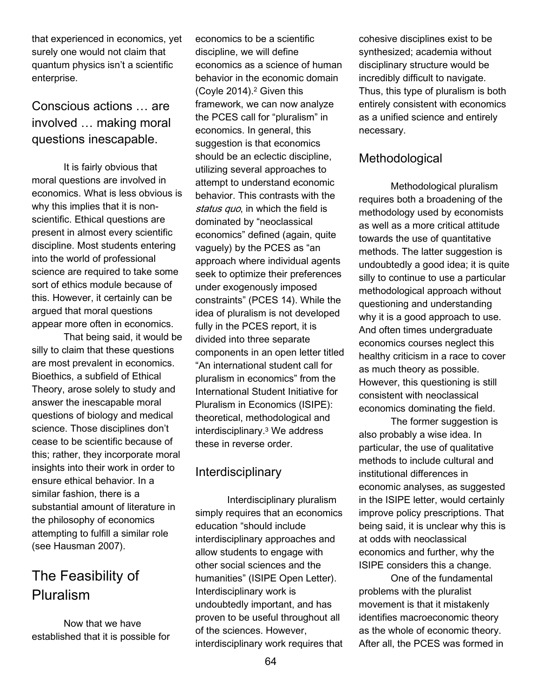that experienced in economics, yet surely one would not claim that quantum physics isn't a scientific enterprise.

Conscious actions … are involved … making moral questions inescapable.

 It is fairly obvious that moral questions are involved in economics. What is less obvious is why this implies that it is nonscientific. Ethical questions are present in almost every scientific discipline. Most students entering into the world of professional science are required to take some sort of ethics module because of this. However, it certainly can be argued that moral questions appear more often in economics.

 That being said, it would be silly to claim that these questions are most prevalent in economics. Bioethics, a subfield of Ethical Theory, arose solely to study and answer the inescapable moral questions of biology and medical science. Those disciplines don't cease to be scientific because of this; rather, they incorporate moral insights into their work in order to ensure ethical behavior. In a similar fashion, there is a substantial amount of literature in the philosophy of economics attempting to fulfill a similar role (see Hausman 2007).

# The Feasibility of Pluralism

 Now that we have established that it is possible for economics to be a scientific discipline, we will define economics as a science of human behavior in the economic domain (Coyle 2014).<sup>2</sup> Given this framework, we can now analyze the PCES call for "pluralism" in economics. In general, this suggestion is that economics should be an eclectic discipline, utilizing several approaches to attempt to understand economic behavior. This contrasts with the status quo, in which the field is dominated by "neoclassical economics" defined (again, quite vaguely) by the PCES as "an approach where individual agents seek to optimize their preferences under exogenously imposed constraints" (PCES 14). While the idea of pluralism is not developed fully in the PCES report, it is divided into three separate components in an open letter titled "An international student call for pluralism in economics" from the International Student Initiative for Pluralism in Economics (ISIPE): theoretical, methodological and interdisciplinary.<sup>3</sup> We address these in reverse order.

### Interdisciplinary

 Interdisciplinary pluralism simply requires that an economics education "should include interdisciplinary approaches and allow students to engage with other social sciences and the humanities" (ISIPE Open Letter). Interdisciplinary work is undoubtedly important, and has proven to be useful throughout all of the sciences. However, interdisciplinary work requires that cohesive disciplines exist to be synthesized; academia without disciplinary structure would be incredibly difficult to navigate. Thus, this type of pluralism is both entirely consistent with economics as a unified science and entirely necessary.

### **Methodological**

 Methodological pluralism requires both a broadening of the methodology used by economists as well as a more critical attitude towards the use of quantitative methods. The latter suggestion is undoubtedly a good idea; it is quite silly to continue to use a particular methodological approach without questioning and understanding why it is a good approach to use. And often times undergraduate economics courses neglect this healthy criticism in a race to cover as much theory as possible. However, this questioning is still consistent with neoclassical economics dominating the field.

 The former suggestion is also probably a wise idea. In particular, the use of qualitative methods to include cultural and institutional differences in economic analyses, as suggested in the ISIPE letter, would certainly improve policy prescriptions. That being said, it is unclear why this is at odds with neoclassical economics and further, why the ISIPE considers this a change.

 One of the fundamental problems with the pluralist movement is that it mistakenly identifies macroeconomic theory as the whole of economic theory. After all, the PCES was formed in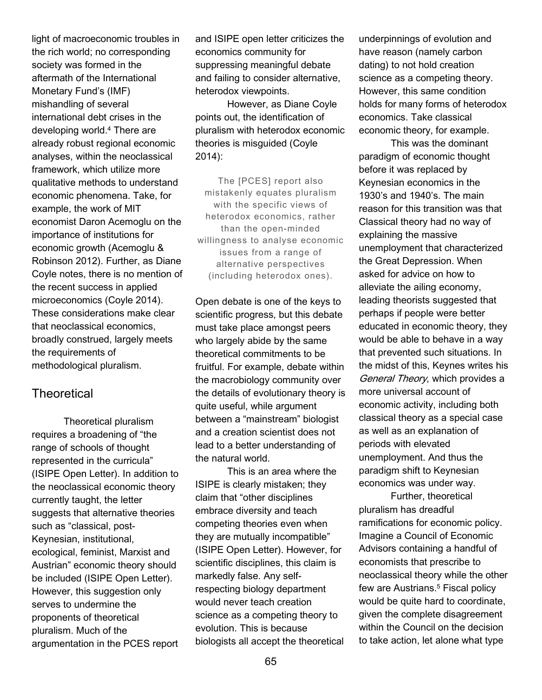light of macroeconomic troubles in the rich world; no corresponding society was formed in the aftermath of the International Monetary Fund's (IMF) mishandling of several international debt crises in the developing world.<sup>4</sup> There are already robust regional economic analyses, within the neoclassical framework, which utilize more qualitative methods to understand economic phenomena. Take, for example, the work of MIT economist Daron Acemoglu on the importance of institutions for economic growth (Acemoglu & Robinson 2012). Further, as Diane Coyle notes, there is no mention of the recent success in applied microeconomics (Coyle 2014). These considerations make clear that neoclassical economics, broadly construed, largely meets the requirements of methodological pluralism.

### **Theoretical**

 Theoretical pluralism requires a broadening of "the range of schools of thought represented in the curricula" (ISIPE Open Letter). In addition to the neoclassical economic theory currently taught, the letter suggests that alternative theories such as "classical, post-Keynesian, institutional, ecological, feminist, Marxist and Austrian" economic theory should be included (ISIPE Open Letter). However, this suggestion only serves to undermine the proponents of theoretical pluralism. Much of the argumentation in the PCES report and ISIPE open letter criticizes the economics community for suppressing meaningful debate and failing to consider alternative, heterodox viewpoints.

 However, as Diane Coyle points out, the identification of pluralism with heterodox economic theories is misguided (Coyle 2014):

The [PCES] report also mistakenly equates pluralism with the specific views of heterodox economics, rather than the open-minded willingness to analyse economic issues from a range of alternative perspectives (including heterodox ones).

Open debate is one of the keys to scientific progress, but this debate must take place amongst peers who largely abide by the same theoretical commitments to be fruitful. For example, debate within the macrobiology community over the details of evolutionary theory is quite useful, while argument between a "mainstream" biologist and a creation scientist does not lead to a better understanding of the natural world.

 This is an area where the ISIPE is clearly mistaken; they claim that "other disciplines embrace diversity and teach competing theories even when they are mutually incompatible" (ISIPE Open Letter). However, for scientific disciplines, this claim is markedly false. Any selfrespecting biology department would never teach creation science as a competing theory to evolution. This is because biologists all accept the theoretical underpinnings of evolution and have reason (namely carbon dating) to not hold creation science as a competing theory. However, this same condition holds for many forms of heterodox economics. Take classical economic theory, for example.

 This was the dominant paradigm of economic thought before it was replaced by Keynesian economics in the 1930's and 1940's. The main reason for this transition was that Classical theory had no way of explaining the massive unemployment that characterized the Great Depression. When asked for advice on how to alleviate the ailing economy, leading theorists suggested that perhaps if people were better educated in economic theory, they would be able to behave in a way that prevented such situations. In the midst of this, Keynes writes his General Theory, which provides a more universal account of economic activity, including both classical theory as a special case as well as an explanation of periods with elevated unemployment. And thus the paradigm shift to Keynesian economics was under way.

 Further, theoretical pluralism has dreadful ramifications for economic policy. Imagine a Council of Economic Advisors containing a handful of economists that prescribe to neoclassical theory while the other few are Austrians.<sup>5</sup> Fiscal policy would be quite hard to coordinate, given the complete disagreement within the Council on the decision to take action, let alone what type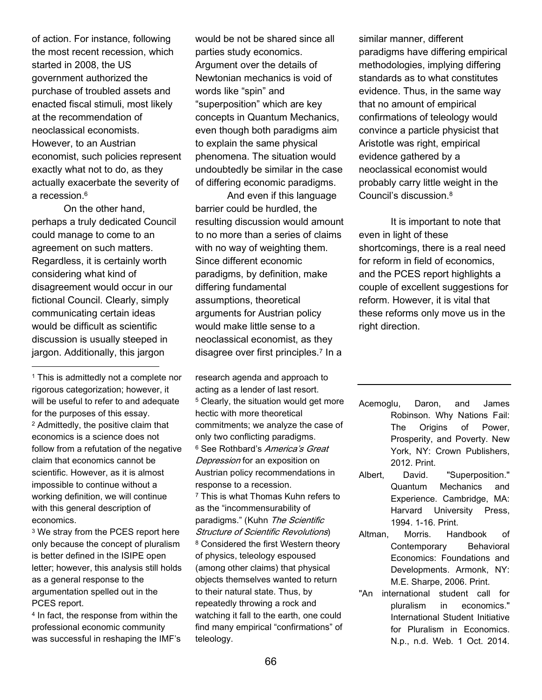of action. For instance, following the most recent recession, which started in 2008, the US government authorized the purchase of troubled assets and enacted fiscal stimuli, most likely at the recommendation of neoclassical economists. However, to an Austrian economist, such policies represent exactly what not to do, as they actually exacerbate the severity of a recession.<sup>6</sup>

 On the other hand, perhaps a truly dedicated Council could manage to come to an agreement on such matters. Regardless, it is certainly worth considering what kind of disagreement would occur in our fictional Council. Clearly, simply communicating certain ideas would be difficult as scientific discussion is usually steeped in jargon. Additionally, this jargon  $\overline{a}$ 

<sup>1</sup> This is admittedly not a complete nor rigorous categorization; however, it will be useful to refer to and adequate for the purposes of this essay. <sup>2</sup> Admittedly, the positive claim that economics is a science does not follow from a refutation of the negative claim that economics cannot be scientific. However, as it is almost impossible to continue without a working definition, we will continue with this general description of economics.

<sup>3</sup> We stray from the PCES report here only because the concept of pluralism is better defined in the ISIPE open letter; however, this analysis still holds as a general response to the argumentation spelled out in the PCES report.

<sup>4</sup> In fact, the response from within the professional economic community was successful in reshaping the IMF's would be not be shared since all parties study economics. Argument over the details of Newtonian mechanics is void of words like "spin" and "superposition" which are key concepts in Quantum Mechanics, even though both paradigms aim to explain the same physical phenomena. The situation would undoubtedly be similar in the case of differing economic paradigms.

 And even if this language barrier could be hurdled, the resulting discussion would amount to no more than a series of claims with no way of weighting them. Since different economic paradigms, by definition, make differing fundamental assumptions, theoretical arguments for Austrian policy would make little sense to a neoclassical economist, as they disagree over first principles.<sup>7</sup> In a

research agenda and approach to acting as a lender of last resort. <sup>5</sup> Clearly, the situation would get more hectic with more theoretical commitments; we analyze the case of only two conflicting paradigms. <sup>6</sup> See Rothbard's *America's Great* **Depression** for an exposition on Austrian policy recommendations in response to a recession. <sup>7</sup> This is what Thomas Kuhn refers to as the "incommensurability of paradigms." (Kuhn The Scientific Structure of Scientific Revolutions) <sup>8</sup> Considered the first Western theory of physics, teleology espoused (among other claims) that physical objects themselves wanted to return to their natural state. Thus, by repeatedly throwing a rock and watching it fall to the earth, one could find many empirical "confirmations" of

similar manner, different paradigms have differing empirical methodologies, implying differing standards as to what constitutes evidence. Thus, in the same way that no amount of empirical confirmations of teleology would convince a particle physicist that Aristotle was right, empirical evidence gathered by a neoclassical economist would probably carry little weight in the Council's discussion.<sup>8</sup>

 It is important to note that even in light of these shortcomings, there is a real need for reform in field of economics, and the PCES report highlights a couple of excellent suggestions for reform. However, it is vital that these reforms only move us in the right direction.

Acemoglu, Daron, and James Robinson. Why Nations Fail: The Origins of Power, Prosperity, and Poverty. New York, NY: Crown Publishers, 2012. Print.

- Albert, David. "Superposition." Quantum Mechanics and Experience. Cambridge, MA: Harvard University Press, 1994. 1-16. Print.
- Altman, Morris. Handbook of Contemporary Behavioral Economics: Foundations and Developments. Armonk, NY: M.E. Sharpe, 2006. Print.
- "An international student call for pluralism in economics." International Student Initiative for Pluralism in Economics. N.p., n.d. Web. 1 Oct. 2014.

teleology.